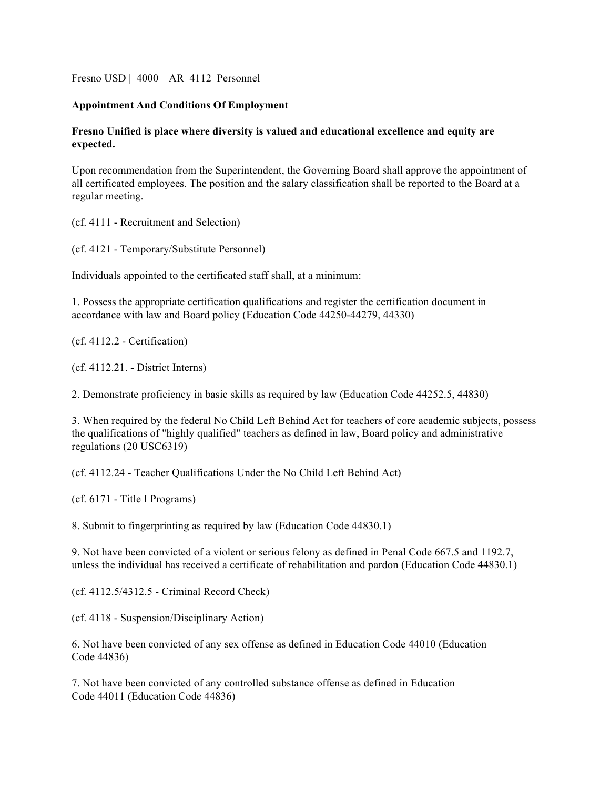Fresno USD | 4000 | AR 4112 Personnel

## **Appointment And Conditions Of Employment**

## **Fresno Unified is place where diversity is valued and educational excellence and equity are expected.**

Upon recommendation from the Superintendent, the Governing Board shall approve the appointment of all certificated employees. The position and the salary classification shall be reported to the Board at a regular meeting.

(cf. 4111 - Recruitment and Selection)

(cf. 4121 - Temporary/Substitute Personnel)

Individuals appointed to the certificated staff shall, at a minimum:

1. Possess the appropriate certification qualifications and register the certification document in accordance with law and Board policy (Education Code 44250-44279, 44330)

(cf. 4112.2 - Certification)

(cf. 4112.21. - District Interns)

2. Demonstrate proficiency in basic skills as required by law (Education Code 44252.5, 44830)

3. When required by the federal No Child Left Behind Act for teachers of core academic subjects, possess the qualifications of "highly qualified" teachers as defined in law, Board policy and administrative regulations (20 USC6319)

(cf. 4112.24 - Teacher Qualifications Under the No Child Left Behind Act)

(cf. 6171 - Title I Programs)

8. Submit to fingerprinting as required by law (Education Code 44830.1)

9. Not have been convicted of a violent or serious felony as defined in Penal Code 667.5 and 1192.7, unless the individual has received a certificate of rehabilitation and pardon (Education Code 44830.1)

(cf. 4112.5/4312.5 - Criminal Record Check)

(cf. 4118 - Suspension/Disciplinary Action)

6. Not have been convicted of any sex offense as defined in Education Code 44010 (Education Code 44836)

7. Not have been convicted of any controlled substance offense as defined in Education Code 44011 (Education Code 44836)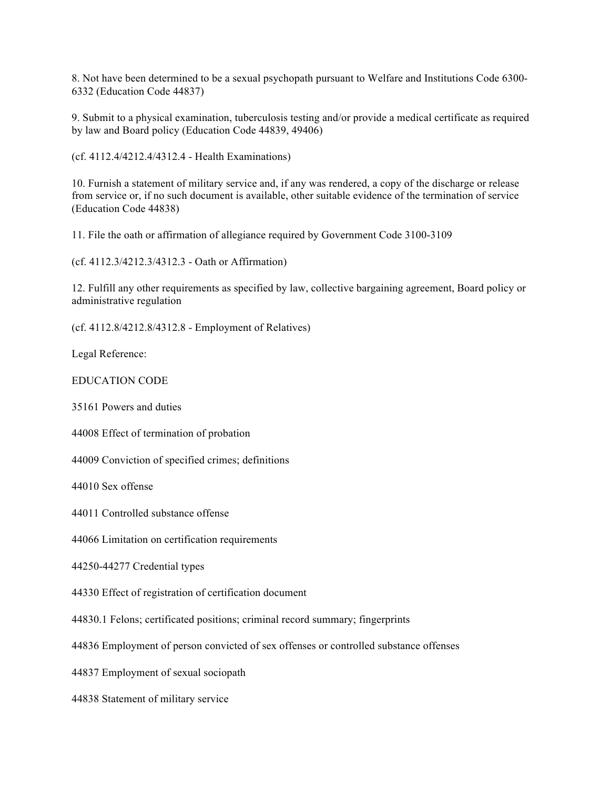8. Not have been determined to be a sexual psychopath pursuant to Welfare and Institutions Code 6300- 6332 (Education Code 44837)

9. Submit to a physical examination, tuberculosis testing and/or provide a medical certificate as required by law and Board policy (Education Code 44839, 49406)

(cf. 4112.4/4212.4/4312.4 - Health Examinations)

10. Furnish a statement of military service and, if any was rendered, a copy of the discharge or release from service or, if no such document is available, other suitable evidence of the termination of service (Education Code 44838)

11. File the oath or affirmation of allegiance required by Government Code 3100-3109

(cf. 4112.3/4212.3/4312.3 - Oath or Affirmation)

12. Fulfill any other requirements as specified by law, collective bargaining agreement, Board policy or administrative regulation

(cf. 4112.8/4212.8/4312.8 - Employment of Relatives)

Legal Reference:

## EDUCATION CODE

35161 Powers and duties

44008 Effect of termination of probation

44009 Conviction of specified crimes; definitions

44010 Sex offense

44011 Controlled substance offense

44066 Limitation on certification requirements

44250-44277 Credential types

44330 Effect of registration of certification document

44830.1 Felons; certificated positions; criminal record summary; fingerprints

44836 Employment of person convicted of sex offenses or controlled substance offenses

44837 Employment of sexual sociopath

44838 Statement of military service